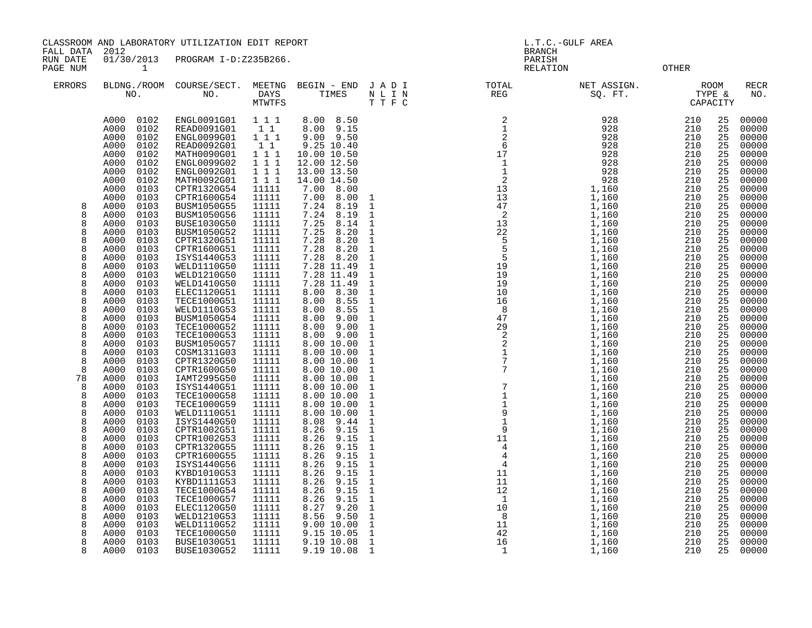CLASSROOM AND LABORATORY UTILIZATION EDIT REPORT And the state of the contract of the contract of the contract of the contract of the contract of the contract of the contract of the contract of the contract of the contract

FALL DATA 2012 BRANCH

RUN DATE 01/30/2013 PROGRAM I-D:Z235B266.<br>PAGE NUM 1 PAGE NUM 1 CHARGE 110 CHARGE 110 CHARGE 2018 COMPANY 1

| <b>ERRORS</b> | NO.                          | BLDNG./ROOM COURSE/SECT.<br>NO. | MEETNG<br>DAYS<br><b>MTWTFS</b> | BEGIN - END<br>TIMES     | JADI<br>N L I N<br>TTFC      | TOTAL<br>REG                                                       | NET ASSIGN.<br>SQ. FT. | CAPACITY   | ROOM<br>TYPE & | RECR<br>NO.    |
|---------------|------------------------------|---------------------------------|---------------------------------|--------------------------|------------------------------|--------------------------------------------------------------------|------------------------|------------|----------------|----------------|
|               | A000<br>0102<br>0102<br>A000 | ENGL0091G01<br>READ0091G01      | 1 1 1<br>11                     | 8.00 8.50<br>8.00 9.15   |                              | $\begin{bmatrix} 2 \\ 1 \\ 2 \\ 6 \\ 17 \\ 1 \end{bmatrix}$        | 928<br>928             | 210<br>210 | 25<br>25       | 00000<br>00000 |
|               | 0102<br>A000                 | ENGL0099G01                     | 1 1 1                           | $9.00$ $9.50$            |                              |                                                                    | 928                    | 210        | 25             | 00000          |
|               | A000<br>0102                 | <b>READ0092G01</b>              | 1 1                             | 9.25 10.40               |                              |                                                                    | 928                    | 210        | 25             | 00000          |
|               | 0102<br>A000                 | MATH0090G01                     | 111                             | 10.00 10.50              |                              |                                                                    | 928                    | 210        | 25             | 00000          |
|               | A000<br>0102                 | ENGL0099G02                     | 1 1 1                           | 12.00 12.50              |                              |                                                                    | 928                    | 210        | 25             | 00000          |
|               | 0102<br>A000                 | ENGL0092G01                     | 111                             | 13.00 13.50              |                              |                                                                    | 928                    | 210        | 25             | 00000          |
|               | A000<br>0102                 | MATH0092G01                     | $1 \quad 1 \quad 1$             | 14.00 14.50              |                              |                                                                    | 928                    | 210        | 25             | 00000          |
|               | A000<br>0103                 | CPTR1320G54                     | 11111                           | 7.00<br>8.00             |                              |                                                                    | 1,160                  | 210        | 25             | 00000          |
|               | A000<br>0103                 | CPTR1600G54                     | 11111                           | 7.00<br>8.00             | $\overline{1}$               |                                                                    | 1,160                  | 210        | 25             | 00000          |
| 8             | A000<br>0103                 | BUSM1050G55                     | 11111                           | 7.24<br>8.19             | $\overline{1}$               |                                                                    | 1,160                  | 210        | 25             | 00000          |
| 8             | 0103<br>A000                 | BUSM1050G56                     | 11111                           | 7.24<br>8.19             | $\overline{1}$               |                                                                    | 1,160                  | 210        | 25             | 00000          |
| 8             | A000<br>0103                 | BUSE1030G50                     | 11111                           | 7.25<br>8.14             | $\mathbf{1}$                 |                                                                    | 1,160                  | 210        | 25             | 00000          |
| 8             | 0103<br>A000                 | BUSM1050G52                     | 11111                           | 7.25<br>8.20             | $\mathbf{1}$                 |                                                                    | 1,160                  | 210        | 25             | 00000          |
| 8             | 0103<br>A000                 | CPTR1320G51                     | 11111                           | 7.28<br>8.20             | $\mathbf{1}$                 |                                                                    | 1,160                  | 210        | 25             | 00000          |
| 8             | 0103<br>A000                 | CPTR1600G51                     | 11111                           | 7.28<br>8.20             | $\,$ 1                       |                                                                    | 1,160                  | 210        | 25             | 00000          |
| 8             | A000<br>0103                 | ISYS1440G53                     | 11111                           | 7.28<br>8.20             | $\mathbf 1$                  |                                                                    | 1,160                  | 210        | 25             | 00000          |
| 8             | 0103<br>A000                 | WELD1110G50                     | 11111                           | 7.28 11.49               | $\mathbf{1}$                 |                                                                    | 1,160                  | 210        | 25             | 00000          |
| 8             | A000<br>0103                 | WELD1210G50                     | 11111                           | 7.28 11.49               | $\mathbf{1}$                 |                                                                    | 1,160                  | 210        | 25             | 00000          |
| 8             | A000<br>0103                 | WELD1410G50                     | 11111                           | 7.28 11.49               | $\mathbf{1}$                 |                                                                    | 1,160                  | 210        | 25             | 00000          |
| 8             | A000<br>0103                 | ELEC1120G51                     | 11111                           | 8.30<br>8.00             | $\mathbf{1}$                 |                                                                    | 1,160                  | 210        | 25             | 00000          |
| 8             | A000<br>0103                 | <b>TECE1000G51</b>              | 11111                           | 8.55<br>8.00             | $\mathbf{1}$                 |                                                                    | 1,160                  | 210        | 25             | 00000          |
| 8             | A000<br>0103                 | WELD1110G53                     | 11111                           | 8.55<br>8.00             | $\mathbf{1}$                 |                                                                    | 1,160                  | 210        | 25             | 00000          |
| 8             | A000<br>0103                 | BUSM1050G54                     | 11111                           | 9.00<br>8.00             | $\mathbf{1}$                 |                                                                    | 1,160                  | 210        | 25             | 00000          |
| 8             | 0103<br>A000                 | <b>TECE1000G52</b>              | 11111                           | 8.00<br>9.00             | $\mathbf{1}$                 |                                                                    | 1,160                  | 210        | 25             | 00000          |
| 8             | A000<br>0103                 | <b>TECE1000G53</b>              | 11111                           | 9.00<br>8.00             | $\mathbf{1}$                 |                                                                    | 1,160                  | 210        | 25             | 00000          |
| 8             | 0103<br>A000                 | BUSM1050G57                     | 11111                           | 8.00 10.00               | $\mathbf{1}$                 |                                                                    | 1,160                  | 210        | 25             | 00000          |
| 8             | 0103<br>A000                 | COSM1311G03                     | 11111                           | 8.00 10.00               | $\mathbf{1}$                 |                                                                    | 1,160                  | 210        | 25             | 00000          |
| 8<br>8        | A000<br>0103                 | CPTR1320G50                     | 11111                           | 8.00 10.00               | $\mathbf{1}$                 |                                                                    | 1,160                  | 210<br>210 | 25             | 00000<br>00000 |
| 78            | 0103<br>A000<br>A000<br>0103 | CPTR1600G50<br>IAMT2995G50      | 11111<br>11111                  | 8.00 10.00<br>8.00 10.00 | $\mathbf{1}$<br>$\mathbf{1}$ |                                                                    | 1,160<br>1,160         | 210        | 25<br>25       | 00000          |
| 8             | A000<br>0103                 | ISYS1440G51                     | 11111                           | 8.00 10.00               | $\mathbf{1}$                 |                                                                    | 1,160                  | 210        | 25             | 00000          |
| 8             | 0103<br>A000                 | <b>TECE1000G58</b>              | 11111                           | 8.00 10.00               | $\mathbf{1}$                 |                                                                    | 1,160                  | 210        | 25             | 00000          |
| 8             | 0103<br>A000                 | <b>TECE1000G59</b>              | 11111                           | 8.00 10.00               | $\mathbf{1}$                 |                                                                    | 1,160                  | 210        | 25             | 00000          |
| 8             | A000<br>0103                 | WELD1110G51                     | 11111                           | 8.00 10.00               | $\mathbf{1}$                 |                                                                    | 1,160                  | 210        | 25             | 00000          |
| 8             | 0103<br>A000                 | ISYS1440G50                     | 11111                           | 8.08<br>9.44             | $\mathbf{1}$                 |                                                                    | 1,160                  | 210        | 25             | 00000          |
| 8             | 0103<br>A000                 | CPTR1002G51                     | 11111                           | 9.15<br>8.26             | $\overline{1}$               |                                                                    | 1,160                  | 210        | 25             | 00000          |
| 8             | A000<br>0103                 | CPTR1002G53                     | 11111                           | 8.26<br>9.15             | $\overline{1}$               |                                                                    | 1,160                  | 210        | 25             | 00000          |
| 8             | 0103<br>A000                 | CPTR1320G55                     | 11111                           | 8.26<br>9.15             | $\mathbf{1}$                 |                                                                    | 1,160                  | 210        | 25             | 00000          |
| 8             | 0103<br>A000                 | CPTR1600G55                     | 11111                           | 9.15<br>8.26             | $\mathbf{1}$                 |                                                                    | 1,160                  | 210        | 25             | 00000          |
| 8             | A000<br>0103                 | ISYS1440G56                     | 11111                           | 8.26<br>9.15             | $\mathbf{1}$                 |                                                                    | 1,160                  | 210        | 25             | 00000          |
| 8             | 0103<br>A000                 | KYBD1010G53                     | 11111                           | 8.26<br>9.15             | $\mathbf{1}$                 |                                                                    | 1,160                  | 210        | 25             | 00000          |
| 8             | 0103<br>A000                 | KYBD1111G53                     | 11111                           | 8.26<br>9.15             | $\mathbf{1}$                 |                                                                    | 1,160                  | 210        | 25             | 00000          |
| 8             | A000<br>0103                 | TECE1000G54                     | 11111                           | 8.26<br>9.15             | $\mathbf 1$                  |                                                                    | 1,160                  | 210        | 25             | 00000          |
| 8             | 0103<br>A000                 | <b>TECE1000G57</b>              | 11111                           | 8.26<br>9.15             | $\mathbf{1}$                 |                                                                    | 1,160                  | 210        | 25             | 00000          |
| 8             | 0103<br>A000                 | ELEC1120G50                     | 11111                           | 9.20<br>8.27             | $\mathbf{1}$                 | $\begin{array}{c} 1 \\ 10 \\ 8 \\ 11 \\ 42 \\ 16 \\ 1 \end{array}$ | 1,160                  | 210        | 25             | 00000          |
| 8             | 0103<br>A000                 | WELD1210G53                     | 11111                           | 9.50<br>8.56             | $\,$ 1                       |                                                                    | 1,160                  | 210        | 25             | 00000          |
| 8             | 0103<br>A000                 | WELD1110G52                     | 11111                           | 9.00 10.00               | $\mathbf{1}$                 |                                                                    | 1,160                  | 210        | 25             | 00000          |
| 8             | A000<br>0103                 | <b>TECE1000G50</b>              | 11111                           | 9.15 10.05               | $\mathbf{1}$                 |                                                                    | 1,160                  | 210        | 25             | 00000          |
| 8             | 0103<br>A000                 | <b>BUSE1030G51</b>              | 11111                           | 9.19 10.08               | $\mathbf{1}$                 |                                                                    | 1,160                  | 210        | 25             | 00000          |
| 8             | A000<br>0103                 | <b>BUSE1030G52</b>              | 11111                           | 9.19 10.08               | $\overline{1}$               | $\overline{1}$                                                     | 1,160                  | 210        | 25             | 00000          |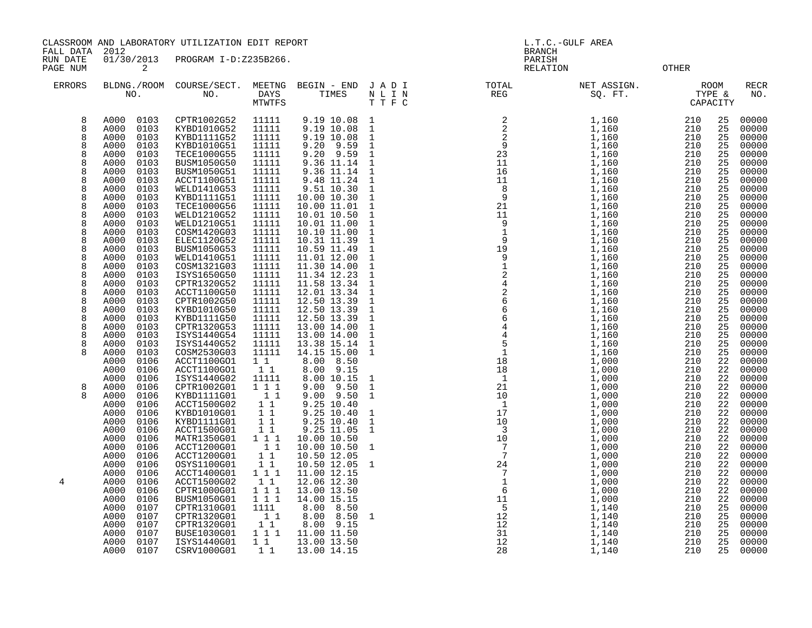CLASSROOM AND LABORATORY UTILIZATION EDIT REPORT AND REPORT AND L.T.C.-GULF AREA

FALL DATA 2012 BRANCH

RUN DATE 01/30/2013 PROGRAM I-D:Z235B266. PARISH PAGE NUM 2 RELATION OTHER

| <b>ERRORS</b> | NO.                          | BLDNG./ROOM COURSE/SECT.<br>NO.   | DAYS<br>MTWTFS  | MEETNG BEGIN - END JADI<br>TIMES | N L I N<br>TTFC              | $_{\tt TOTAL}$<br>TOTAL<br>REG | NET ASSIGN.<br>IT ASSIGN.<br>SQ. FT. TYPE &<br>CAPACITY |            |             | <b>RECR</b><br>NO. |
|---------------|------------------------------|-----------------------------------|-----------------|----------------------------------|------------------------------|--------------------------------|---------------------------------------------------------|------------|-------------|--------------------|
| 8             | A000<br>0103                 | CPTR1002G52                       | 11111           | 9.19 10.08                       | $\mathbf{1}$                 |                                | 1,160                                                   | 210        | 25          | 00000              |
| 8             | A000<br>0103                 | KYBD1010G52                       | 11111           | 9.19 10.08                       | $\mathbf{1}$                 |                                | 1,160                                                   | 210        | 25          | 00000              |
| 8             | 0103<br>A000                 | KYBD1111G52                       | 11111           | 9.19 10.08                       | $\mathbf{1}$                 |                                | 1,160                                                   | 210        | 25          | 00000              |
| 8<br>8        | 0103<br>A000                 | KYBD1010G51                       | 11111           | 9.20 9.59                        | $\mathbf{1}$                 |                                | 1,160                                                   | 210        | 25          | 00000              |
| 8             | 0103<br>A000<br>A000<br>0103 | <b>TECE1000G55</b><br>BUSM1050G50 | 11111<br>11111  | 9.20 9.59<br>9.36 11.14          | $\mathbf{1}$<br>$\mathbf{1}$ |                                | 1,160<br>1,160                                          | 210<br>210 | 25<br>25    | 00000<br>00000     |
| 8             | 0103<br>A000                 | BUSM1050G51                       | 11111           | 9.36 11.14                       | $\mathbf{1}$                 |                                | 1,160                                                   | 210        | 25          | 00000              |
| 8             | A000<br>0103                 | ACCT1100G51                       | 11111           |                                  | $\mathbf{1}$                 |                                | 1,160                                                   | 210        | 25          | 00000              |
| 8             | A000<br>0103                 | WELD1410G53                       | 11111           | 9.48 11.24<br>9.51 10.30         | $1\,$                        |                                | 1,160                                                   | 210        | 25          | 00000              |
| 8             | 0103<br>A000                 | KYBD1111G51                       | 11111           | 10.00 10.30                      | $1\,$                        |                                | 1,160                                                   | 210        | 25          | 00000              |
| 8             | A000<br>0103                 | <b>TECE1000G56</b>                | 11111           | 10.00 11.01                      | $\mathbf{1}$                 |                                | 1,160                                                   | 210        | 25          | 00000              |
| 8             | 0103<br>A000                 | WELD1210G52                       | 11111           | 10.01 10.50                      | $\mathbf{1}$                 |                                | 1,160                                                   | 210        | 25          | 00000              |
| 8             | 0103<br>A000                 | WELD1210G51                       | 11111           | 10.01 11.00                      | $\mathbf{1}$                 |                                | 1,160                                                   | 210        | 25          | 00000              |
| 8<br>8        | A000<br>0103<br>0103         | COSM1420G03<br><b>ELEC1120G52</b> | 11111<br>11111  | 10.10 11.00                      | $\mathbf{1}$                 |                                | 1,160                                                   | 210<br>210 | 25<br>25    | 00000<br>00000     |
| 8             | A000<br>0103<br>A000         | BUSM1050G53                       | 11111           | 10.31 11.39<br>10.59 11.49       | $\mathbf{1}$<br>$\mathbf{1}$ |                                | 1,160<br>1,160                                          | 210        | 25          | 00000              |
| 8             | A000<br>0103                 | WELD1410G51                       | 11111           | 11.01 12.00                      | $\mathbf{1}$                 |                                | 1,160                                                   | 210        | 25          | 00000              |
| 8             | 0103<br>A000                 | COSM1321G03                       | 11111           | 11.30 14.00                      | $\mathbf{1}$                 |                                | 1,160                                                   | 210        | 25          | 00000              |
| 8             | 0103<br>A000                 | ISYS1650G50                       | 11111           | 11.34 12.23                      | $\mathbf{1}$                 |                                | 1,160                                                   | 210        | 25          | 00000              |
| 8             | A000<br>0103                 | CPTR1320G52                       | 11111           | 11.58 13.34<br>12.01 13.34       | $\mathbf{1}$                 |                                | 1,160                                                   | 210        | 25          | 00000              |
| 8             | 0103<br>A000                 | ACCT1100G50                       | 11111           |                                  | $1\,$                        |                                | 1,160                                                   | 210        | 25          | 00000              |
| 8             | 0103<br>A000                 | CPTR1002G50                       | 11111           | 12.50 13.39                      | $\mathbf{1}$                 |                                | 1,160                                                   | 210        | 25          | 00000              |
| 8             | A000<br>0103                 | KYBD1010G50                       | 11111           | 12.50 13.39<br>12.50 13.39       | $\mathbf{1}$                 |                                | 1,160                                                   | 210        | 25          | 00000              |
| 8<br>8        | 0103<br>A000<br>0103<br>A000 | KYBD1111G50<br>CPTR1320G53        | 11111<br>11111  | 13.00 14.00                      | $\mathbf{1}$                 |                                | 1,160                                                   | 210<br>210 | 25<br>25    | 00000<br>00000     |
| 8             | A000<br>0103                 | ISYS1440G54                       | 11111           | 13.00 14.00                      | $\mathbf{1}$<br>$\mathbf{1}$ |                                | $\frac{1}{1}$ , 160<br>1, 160                           | 210        | 25          | 00000              |
| 8             | A000<br>0103                 | ISYS1440G52                       | 11111           | 13.38 15.14                      | $\mathbf{1}$                 |                                | 1,160                                                   | 210        | 25          | 00000              |
| 8             | A000<br>0103                 | COSM2530G03                       | 11111           | 14.15 15.00                      | 1                            |                                | 1,160                                                   | 210        | 25          | 00000              |
|               | A000<br>0106                 | ACCT1100GO1                       | $1\quad1$       | 8.00 8.50                        |                              |                                | 1,000                                                   | 210        | 22          | 00000              |
|               | 0106<br>A000                 | ACCT1100GO1                       | 11              | 8.00 9.15                        |                              |                                | 1,000                                                   | 210        | 22          | 00000              |
|               | A000<br>0106                 | ISYS1440G02                       | 11111           | 8.00 10.15                       | $\mathbf{1}$                 |                                | 1,000                                                   | 210        | 22          | 00000              |
| 8             | A000<br>0106                 | CPTR1002G01                       | $1 1 1$         | 9.00 9.50                        | $\mathbf{1}$                 |                                | 1,000                                                   | 210        | 22          | 00000              |
| 8             | 0106<br>A000<br>A000<br>0106 | KYBD1111G01<br>ACCT1500G02        | 11<br>$1\quad1$ | 9.00 9.50<br>9.25 10.40          | $\mathbf{1}$                 |                                | 1,000<br>1,000                                          | 210<br>210 | 22<br>22    | 00000<br>00000     |
|               | A000<br>0106                 | KYBD1010G01                       | $1\quad1$       | 9.25 10.40                       | $\mathbf{1}$                 |                                | 1,000                                                   | 210        | $2\sqrt{2}$ | 00000              |
|               | 0106<br>A000                 | KYBD1111G01                       | $1\quad1$       | 9.25 10.40                       | $1\,$                        |                                | 1,000                                                   | 210        | 22          | 00000              |
|               | A000<br>0106                 | ACCT1500G01                       | $1\quad1$       | 9.25 11.05                       | $\mathbf{1}$                 |                                | 1,000                                                   | 210        | 22          | 00000              |
|               | A000<br>0106                 | MATR1350G01                       | $1 1 1$         | 10.00 10.50                      |                              |                                | 1,000                                                   | 210        | $2\sqrt{2}$ | 00000              |
|               | 0106<br>A000                 | ACCT1200G01                       | 11              | 10.00 10.50                      | $\mathbf{1}$                 |                                | 1,000                                                   | 210        | 22          | 00000              |
|               | A000<br>0106                 | ACCT1200G01                       | 1 1             | 10.50 12.05                      |                              |                                | 1,000                                                   | 210        | 22          | 00000              |
|               | A000<br>0106                 | OSYS1100G01                       | $1\quad1$       | 10.50 12.05                      | $\mathbf{1}$                 |                                | 1,000                                                   | 210        | 22          | 00000              |
| 4             | A000<br>0106<br>A000<br>0106 | ACCT1400G01<br>ACCT1500G02        | $1 1 1$<br>1 1  | 11.00 12.15                      |                              |                                | 1,000                                                   | 210<br>210 | 22<br>22    | 00000<br>00000     |
|               | A000<br>0106                 | CPTR1000G01                       | $1 \ 1 \ 1$     | 12.06 12.30<br>13.00 13.50       |                              |                                | 1,000<br>1,000                                          | 210        | 22          | 00000              |
|               | A000<br>0106                 | BUSM1050G01                       | 111             | 14.00 15.15                      |                              |                                | 1,000                                                   | 210        | 22          | 00000              |
|               | A000<br>0107                 | CPTR1310G01                       | 1111            | 8.00 8.50                        |                              |                                | 1,140                                                   | 210        | 25          | 00000              |
|               | A000<br>0107                 | CPTR1320G01                       | 11              | 8.00 8.50                        | $\mathbf{1}$                 |                                | 1,140                                                   | 210        | 25          | 00000              |
|               | A000<br>0107                 | CPTR1320G01                       | 1 1             | 8.00 9.15                        |                              |                                | 1,140                                                   | 210        | 25          | 00000              |
|               | A000<br>0107                 | BUSE1030G01                       | 111             | 11.00 11.50                      |                              |                                | 1,140                                                   | 210        | 25          | 00000              |
|               | 0107<br>A000                 | ISYS1440G01                       | 11              | 13.00 13.50                      |                              |                                | 1,140                                                   | 210        | 25          | 00000              |
|               | A000<br>0107                 | CSRV1000G01                       | 11              | 13.00 14.15                      |                              |                                | 1,140                                                   | 210        | 25          | 00000              |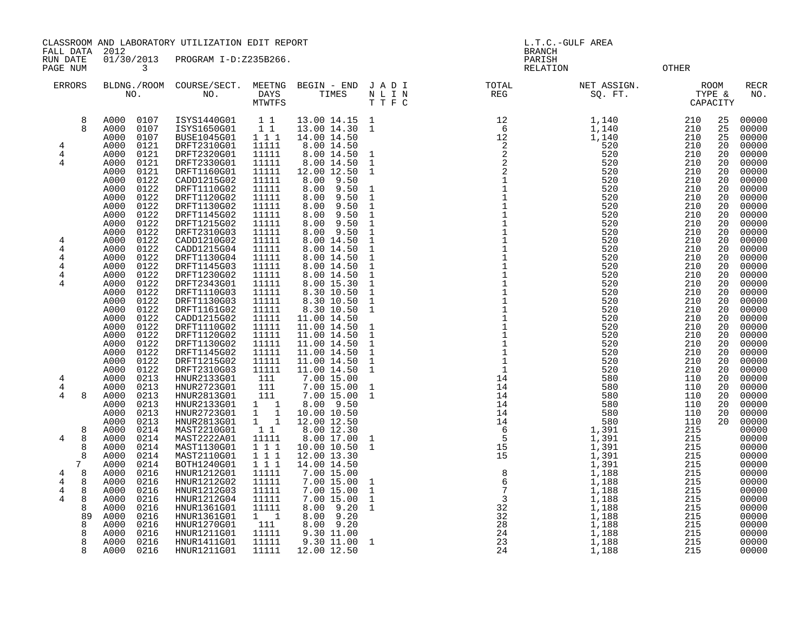CLASSROOM AND LABORATORY UTILIZATION EDIT REPORT And the state of the contract of the contract of the contract of the contract of the contract of the contract of the contract of the contract of the contract of the contract

FALL DATA 2012 BRANCH

RUN DATE 01/30/2013 PROGRAM I-D:Z235B266.<br>PAGE NUM 3<br>PAGE NUM 3 PAGE NUM 3 OTHER

| <b>ERRORS</b>                                                                   | BLDNG./ROOM<br>NO.                                                                                                                                                                           | COURSE/SECT.<br>NO.                                                                                                                                                              | MEETNG<br>DAYS<br>MTWTFS                                                                                       | BEGIN - END<br>TIMES                                                                                                                                                               | JADI<br>$\hbox{N}$ L I $\hbox{N}$<br>T T F C                                                                                                                                 | TOTAL<br>REG                                      | NET ASSIGN.<br>SQ. FT.                                                                 | <b>ROOM</b><br>TYPE &<br>CAPACITY                                                                                                                        | <b>RECR</b><br>NO.                                                                                       |
|---------------------------------------------------------------------------------|----------------------------------------------------------------------------------------------------------------------------------------------------------------------------------------------|----------------------------------------------------------------------------------------------------------------------------------------------------------------------------------|----------------------------------------------------------------------------------------------------------------|------------------------------------------------------------------------------------------------------------------------------------------------------------------------------------|------------------------------------------------------------------------------------------------------------------------------------------------------------------------------|---------------------------------------------------|----------------------------------------------------------------------------------------|----------------------------------------------------------------------------------------------------------------------------------------------------------|----------------------------------------------------------------------------------------------------------|
| 8<br>$\mathsf{R}$<br>4<br>4<br>4                                                | 0107<br>A000<br>A000<br>0107<br>A000<br>0107<br>A000<br>0121<br>A000<br>0121<br>A000<br>0121<br>A000<br>0121<br>A000<br>0122<br>A000<br>0122<br>A000<br>0122<br>A000<br>0122<br>A000<br>0122 | ISYS1440G01<br>ISYS1650G01<br>BUSE1045G01<br>DRFT2310G01<br>DRFT2320G01<br>DRFT2330G01<br>DRFT1160G01<br>CADD1215G02<br>DRFT1110G02<br>DRFT1120G02<br>DRFT1130G02<br>DRFT1145G02 | $1\quad1$<br>$1\quad1$<br>111<br>11111<br>11111<br>11111<br>11111<br>11111<br>11111<br>11111<br>11111<br>11111 | 13.00 14.15<br>13.00 14.30<br>14.00 14.50<br>8.00 14.50<br>8.00 14.50<br>8.00 14.50<br>12.00 12.50<br>9.50<br>8.00<br>9.50<br>8.00<br>9.50<br>8.00<br>9.50<br>8.00<br>8.00<br>9.50 | $\mathbf{1}$<br>$\mathbf{1}$<br>$\mathbf{1}$<br>$\mathbf{1}$<br>$\mathbf{1}$<br>$\mathbf{1}$<br>$\mathbf{1}$<br>$\mathbf{1}$<br>$\mathbf{1}$                                 | $\begin{array}{c} 12 \\ 6 \\ 12 \\ 2 \end{array}$ | 1,140<br>1,140<br>1,140<br>520<br>520<br>520<br>520<br>520<br>520<br>520<br>520<br>520 | 210<br>25<br>210<br>25<br>210<br>25<br>210<br>20<br>210<br>20<br>210<br>20<br>210<br>20<br>210<br>20<br>210<br>20<br>210<br>20<br>210<br>20<br>210<br>20 | 00000<br>00000<br>00000<br>00000<br>00000<br>00000<br>00000<br>00000<br>00000<br>00000<br>00000<br>00000 |
| 4<br>4<br>4<br>4<br>4<br>4                                                      | 0122<br>A000<br>A000<br>0122<br>A000<br>0122<br>0122<br>A000<br>A000<br>0122<br>A000<br>0122<br>0122<br>A000<br>A000<br>0122<br>A000<br>0122<br>A000<br>0122<br>A000<br>0122                 | DRFT1215G02<br>DRFT2310G03<br>CADD1210G02<br>CADD1215G04<br>DRFT1130G04<br>DRFT1145G03<br>DRFT1230G02<br>DRFT2343G01<br>DRFT1110G03<br>DRFT1130G03<br>DRFT1161G02                | 11111<br>11111<br>11111<br>11111<br>11111<br>11111<br>11111<br>11111<br>11111<br>11111<br>11111                | 8.00<br>9.50<br>9.50<br>8.00<br>8.00 14.50<br>8.00 14.50<br>8.00 14.50<br>8.00 14.50<br>8.00 14.50<br>8.00 15.30<br>8.30 10.50<br>8.30 10.50<br>8.30 10.50                         | $\mathbf{1}$<br>$\mathbf{1}$<br>$\mathbf{1}$<br>$\mathbf{1}$<br>$\mathbf{1}$<br>$\mathbf{1}$<br>$\mathbf{1}$<br>$\mathbf{1}$<br>$\mathbf{1}$<br>$\mathbf{1}$<br>$\mathbf{1}$ |                                                   | 520<br>520<br>520<br>520<br>520<br>520<br>520<br>520<br>520<br>520<br>520              | 210<br>20<br>210<br>20<br>210<br>20<br>210<br>20<br>210<br>20<br>210<br>20<br>210<br>20<br>210<br>20<br>210<br>20<br>210<br>20<br>210<br>20              | 00000<br>00000<br>00000<br>00000<br>00000<br>00000<br>00000<br>00000<br>00000<br>00000<br>00000          |
| $\overline{4}$<br>4<br>4<br>8                                                   | A000<br>0122<br>A000<br>0122<br>A000<br>0122<br>0122<br>A000<br>A000<br>0122<br>A000<br>0122<br>0122<br>A000<br>A000<br>0213<br>A000<br>0213<br>A000<br>0213<br>A000<br>0213<br>A000<br>0213 | CADD1215G02<br>DRFT1110G02<br>DRFT1120G02<br>DRFT1130G02<br>DRFT1145G02<br>DRFT1215G02<br>DRFT2310G03<br>HNUR2133G01<br>HNUR2723G01<br>HNUR2813G01<br>HNUR2133G01<br>HNUR2723G01 | 11111<br>11111<br>11111<br>11111<br>11111<br>11111<br>11111<br>111<br>111<br>111<br>$1 \quad 1$<br>$1 \quad 1$ | 11.00 14.50<br>11.00 14.50<br>11.00 14.50<br>11.00 14.50<br>11.00 14.50<br>11.00 14.50<br>11.00 14.50<br>7.00 15.00<br>7.00 15.00<br>7.00 15.00<br>8.00 9.50<br>10.00 10.50        | 1<br>$\mathbf{1}$<br>$\mathbf{1}$<br>$\mathbf{1}$<br>$\mathbf{1}$<br>$\mathbf{1}$<br>1<br>$\mathbf{1}$                                                                       |                                                   |                                                                                        | 210<br>20<br>210<br>20<br>210<br>20<br>210<br>20<br>210<br>20<br>210<br>20<br>210<br>20<br>110<br>20<br>110<br>20<br>110<br>20<br>110<br>20<br>110<br>20 | 00000<br>00000<br>00000<br>00000<br>00000<br>00000<br>00000<br>00000<br>00000<br>00000<br>00000<br>00000 |
| 8<br>4<br>8<br>8<br>8<br>7<br>8<br>4<br>$\overline{4}$<br>8<br>4<br>8<br>4<br>8 | A000<br>0213<br>A000<br>0214<br>A000<br>0214<br>0214<br>A000<br>A000<br>0214<br>A000<br>0214<br>0216<br>A000<br>0216<br>A000<br>A000<br>0216<br>0216<br>A000                                 | HNUR2813G01<br>MAST2210G01<br>MAST2222A01<br>MAST1130G01<br>MAST2110G01<br>BOTH1240G01<br>HNUR1212G01<br>HNUR1212G02<br>HNUR1212G03<br>HNUR1212G04                               | $\overline{1}$ $\overline{1}$<br>11<br>11111<br>111<br>111<br>1 1 1<br>11111<br>11111<br>11111<br>11111        | 12.00 12.50<br>8.00 12.30<br>8.00 17.00<br>10.00 10.50<br>12.00 13.30<br>14.00 14.50<br>7.00 15.00<br>7.00 15.00<br>7.00 15.00<br>7.00 15.00                                       | 1<br>$\mathbf{1}$<br>1<br>$\mathbf{1}$<br>$\mathbf{1}$                                                                                                                       |                                                   |                                                                                        | 110<br>20<br>215<br>215<br>215<br>215<br>215<br>215<br>215<br>215<br>215                                                                                 | 00000<br>00000<br>00000<br>00000<br>00000<br>00000<br>00000<br>00000<br>00000<br>00000                   |
| 8<br>89<br>8<br>8<br>8<br>8                                                     | 0216<br>A000<br>A000<br>0216<br>0216<br>A000<br>A000<br>0216<br>0216<br>A000<br>A000<br>0216                                                                                                 | HNUR1361G01<br>HNUR1361G01<br>HNUR1270G01<br>HNUR1211G01<br>HNUR1411G01<br>HNUR1211G01                                                                                           | 11111<br>$1 \quad 1$<br>111<br>11111<br>11111<br>11111                                                         | 9.20<br>8.00<br>9.20<br>8.00<br>8.00<br>9.20<br>9.30 11.00<br>9.30 11.00<br>12.00 12.50                                                                                            | $\mathbf{1}$<br>$\mathbf{1}$                                                                                                                                                 | 23<br>24                                          | 1,188<br>1,188                                                                         | 215<br>215<br>215<br>215<br>215<br>215                                                                                                                   | 00000<br>00000<br>00000<br>00000<br>00000<br>00000                                                       |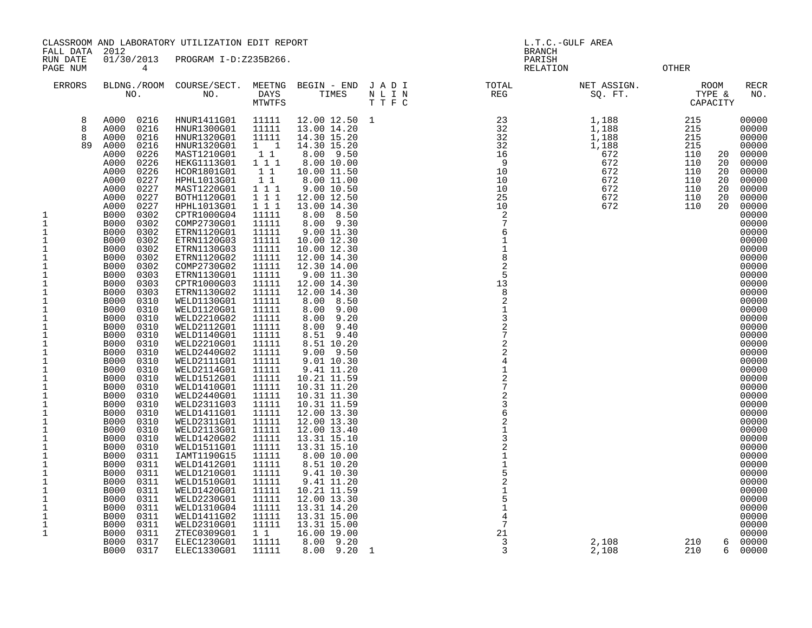|                                                                                                                                                                                                                                                                                                                                                                                                                                                                                       | CLASSROOM AND LABORATORY UTILIZATION EDIT REPORT                                                                                                                                                                                                                                                                                                                                                                                                                                                                                                                                                                                                                                                                                                                                                                                                                                                                                                                                                                                          |                                                                                                                                                                                                                                                                                                                                                                                                                                                                                                                                                                                                                                                                                                                                                                                           | L.T.C.-GULF AREA<br><b>BRANCH</b>                                                                                                                                                                                                                                                                                                                                                                                                                                      |                                                                                                                                                                                                                                                                                                                                                                                                                                                                                                                                                                                                                                                                                                                                                                     |                                                                                                        |  |                                    |                                                                                                                                  |                                             |                                                                                                                                                                                                                                                                                                                                                                                                                                                                           |
|---------------------------------------------------------------------------------------------------------------------------------------------------------------------------------------------------------------------------------------------------------------------------------------------------------------------------------------------------------------------------------------------------------------------------------------------------------------------------------------|-------------------------------------------------------------------------------------------------------------------------------------------------------------------------------------------------------------------------------------------------------------------------------------------------------------------------------------------------------------------------------------------------------------------------------------------------------------------------------------------------------------------------------------------------------------------------------------------------------------------------------------------------------------------------------------------------------------------------------------------------------------------------------------------------------------------------------------------------------------------------------------------------------------------------------------------------------------------------------------------------------------------------------------------|-------------------------------------------------------------------------------------------------------------------------------------------------------------------------------------------------------------------------------------------------------------------------------------------------------------------------------------------------------------------------------------------------------------------------------------------------------------------------------------------------------------------------------------------------------------------------------------------------------------------------------------------------------------------------------------------------------------------------------------------------------------------------------------------|------------------------------------------------------------------------------------------------------------------------------------------------------------------------------------------------------------------------------------------------------------------------------------------------------------------------------------------------------------------------------------------------------------------------------------------------------------------------|---------------------------------------------------------------------------------------------------------------------------------------------------------------------------------------------------------------------------------------------------------------------------------------------------------------------------------------------------------------------------------------------------------------------------------------------------------------------------------------------------------------------------------------------------------------------------------------------------------------------------------------------------------------------------------------------------------------------------------------------------------------------|--------------------------------------------------------------------------------------------------------|--|------------------------------------|----------------------------------------------------------------------------------------------------------------------------------|---------------------------------------------|---------------------------------------------------------------------------------------------------------------------------------------------------------------------------------------------------------------------------------------------------------------------------------------------------------------------------------------------------------------------------------------------------------------------------------------------------------------------------|
| FALL DATA<br>RUN DATE<br>PAGE NUM                                                                                                                                                                                                                                                                                                                                                                                                                                                     | 2012<br>01/30/2013<br>4                                                                                                                                                                                                                                                                                                                                                                                                                                                                                                                                                                                                                                                                                                                                                                                                                                                                                                                                                                                                                   | PROGRAM I-D:Z235B266.                                                                                                                                                                                                                                                                                                                                                                                                                                                                                                                                                                                                                                                                                                                                                                     |                                                                                                                                                                                                                                                                                                                                                                                                                                                                        |                                                                                                                                                                                                                                                                                                                                                                                                                                                                                                                                                                                                                                                                                                                                                                     |                                                                                                        |  | PARISH<br><b>OTHER</b><br>RELATION |                                                                                                                                  |                                             |                                                                                                                                                                                                                                                                                                                                                                                                                                                                           |
| <b>ERRORS</b>                                                                                                                                                                                                                                                                                                                                                                                                                                                                         |                                                                                                                                                                                                                                                                                                                                                                                                                                                                                                                                                                                                                                                                                                                                                                                                                                                                                                                                                                                                                                           |                                                                                                                                                                                                                                                                                                                                                                                                                                                                                                                                                                                                                                                                                                                                                                                           |                                                                                                                                                                                                                                                                                                                                                                                                                                                                        |                                                                                                                                                                                                                                                                                                                                                                                                                                                                                                                                                                                                                                                                                                                                                                     | BLDNG./ROOM COURSE/SECT. MEETNG BEGIN – END JADI (INC. TOTAL NO. ) DAYS TIMES NLIN REG REG (INC. THE C |  | NET ASSIGN.<br>SQ. FT.             | TYPE &<br>CAPACITY                                                                                                               | ROOM                                        | RECR<br>NO.                                                                                                                                                                                                                                                                                                                                                                                                                                                               |
| 8<br>8<br>8<br>89<br>1<br>$\mathbf{1}$<br>$\mathbf{1}$<br>$\mathbf 1$<br>1<br>1<br>1<br>$\mathbf 1$<br>$\mathbf 1$<br>1<br>1<br>$\mathbf{1}$<br>$\mathbf 1$<br>$\mathbf 1$<br>1<br>$\mathbf 1$<br>$\mathbf{1}$<br>$\mathbf{1}$<br>$\mathbf{1}$<br>$\mathbf 1$<br>$\mathbf{1}$<br>$\mathbf{1}$<br>$1\,$<br>1<br>$\mathbf{1}$<br>$\mathbf 1$<br>$1\,$<br>$\mathbf{1}$<br>$1\,$<br>$\mathbf 1$<br>$1\,$<br>1<br>$\mathbf{1}$<br>$\mathbf 1$<br>$1\,$<br>1<br>$\mathbf 1$<br>$\mathbf{1}$ | 0216<br>A000<br>0216<br>A000<br>A000<br>0216<br>A000<br>0216<br>A000<br>0226<br>A000<br>0226<br>0226<br>A000<br>0227<br>A000<br>0227<br>A000<br>0227<br>A000<br>0227<br>A000<br><b>B000</b><br>0302<br>0302<br><b>B000</b><br>0302<br>B000<br><b>B000</b><br>0302<br><b>B000</b><br>0302<br><b>B000</b><br>0302<br><b>B000</b><br>0302<br><b>B000</b><br>0303<br><b>B000</b><br>0303<br><b>B000</b><br>0303<br>0310<br>B000<br>0310<br><b>B000</b><br>B000<br>0310<br>0310<br>B000<br>0310<br>B000<br>B000<br>0310<br><b>B000</b><br>0310<br>B000<br>0310<br><b>B000</b><br>0310<br>B000<br>0310<br>B000<br>0310<br><b>B000</b><br>0310<br><b>B000</b><br>0310<br>0310<br>B000<br><b>B000</b><br>0310<br><b>B000</b><br>0310<br><b>B000</b><br>0310<br><b>B000</b><br>0310<br>0311<br>B000<br><b>B000</b><br>0311<br>B000<br>0311<br>0311<br><b>B000</b><br>B000<br>0311<br>0311<br><b>B000</b><br><b>B000</b><br>0311<br><b>B000</b><br>0311<br>0311<br><b>B000</b><br><b>B000</b><br>0311<br><b>B000</b><br>0317<br><b>B000</b><br>0317 | HNUR1411G01<br>HNUR1300G01<br>HNUR1320G01<br>HNUR1320G01<br>MAST1210G01<br>HEKG1113G01<br>HCOR1801G01<br>HPHL1013G01<br>MAST1220G01<br>BOTH1120G01<br>HPHL1013G01<br>CPTR1000G04<br>COMP2730G01<br>ETRN1120G01<br>ETRN1120G03<br>ETRN1130G03<br>ETRN1120G02<br>COMP2730G02<br>ETRN1130G01<br>CPTR1000G03<br>ETRN1130G02<br>WELD1130G01<br>WELD1120G01<br>WELD2210G02<br>WELD2112G01<br>WELD1140G01<br>WELD2210G01<br>WELD2440G02<br>WELD2111G01<br>WELD2114G01<br>WELD1512G01<br>WELD1410G01<br>WELD2440G01<br>WELD2311G03<br>WELD1411G01<br>WELD2311G01<br>WELD2113G01<br>WELD1420G02<br>WELD1511G01<br>IAMT1190G15<br>WELD1412G01<br>WELD1210G01<br>WELD1510G01<br>WELD1420G01<br>WELD2230G01<br>WELD1310G04<br>WELD1411G02<br>WELD2310G01<br>ZTEC0309G01<br>ELEC1230G01<br>ELEC1330G01 | 11111<br>11111<br>11111<br>$1 \quad 1$<br>11<br>1 1 1<br>11<br>11<br>1 1 1<br>111<br>1 1 1<br>11111<br>11111<br>11111<br>11111<br>11111<br>11111<br>11111<br>11111<br>11111<br>11111<br>11111<br>11111<br>11111<br>11111<br>11111<br>11111<br>11111<br>11111<br>11111<br>11111<br>11111<br>11111<br>11111<br>11111<br>11111<br>11111<br>11111<br>11111<br>11111<br>11111<br>11111<br>11111<br>11111<br>11111<br>11111<br>11111<br>11111<br>$1\quad1$<br>11111<br>11111 | 12.00 12.50 1<br>13.00 14.20<br>14.30 15.20<br>14.30 15.20<br>8.00 9.50<br>8.00 10.00<br>10.00 11.50<br>8.00 11.00<br>9.00 10.50<br>12.00 12.50<br>13.00 14.30<br>8.00 8.50<br>8.00 9.30<br>9.00 11.30<br>10.00 12.30<br>10.00 12.30<br>12.00 14.30<br>12.30 14.00<br>9.00 11.30<br>12.00 14.30<br>12.00 14.30<br>8.00 8.50<br>$8.00$ $9.00$<br>8.00 9.20<br>8.00 9.40<br>8.51 9.40<br>8.51 10.20<br>$9.00$ $9.50$<br>9.01 10.30<br>9.41 11.20<br>10.21 11.59<br>10.31 11.20<br>10.31 11.30<br>10.31 11.59<br>12.00 13.30<br>12.00 13.30<br>12.00 13.40<br>13.31 15.10<br>13.31 15.10<br>8.00 10.00<br>8.51 10.20<br>9.41 10.30<br>9.41 11.20<br>10.21 11.59<br>12.00 13.30<br>13.31 14.20<br>13.31 15.00<br>13.31 15.00<br>16.00 19.00<br>8.00 9.20<br>8.00 9.20 1 |                                                                                                        |  |                                    | $\begin{array}{r} 215 \\ 215 \\ 215 \\ 215 \\ 110 \\ \hline \end{array}$<br>110<br>110<br>110<br>110<br>110<br>110<br>210<br>210 | 20<br>20<br>20<br>20<br>20<br>20<br>20<br>6 | 00000<br>00000<br>00000<br>00000<br>00000<br>00000<br>00000<br>00000<br>00000<br>00000<br>00000<br>00000<br>00000<br>00000<br>00000<br>00000<br>00000<br>00000<br>00000<br>00000<br>00000<br>00000<br>00000<br>00000<br>00000<br>00000<br>00000<br>00000<br>00000<br>00000<br>00000<br>00000<br>00000<br>00000<br>00000<br>00000<br>00000<br>00000<br>00000<br>00000<br>00000<br>00000<br>00000<br>00000<br>00000<br>00000<br>00000<br>00000<br>00000<br>6 00000<br>00000 |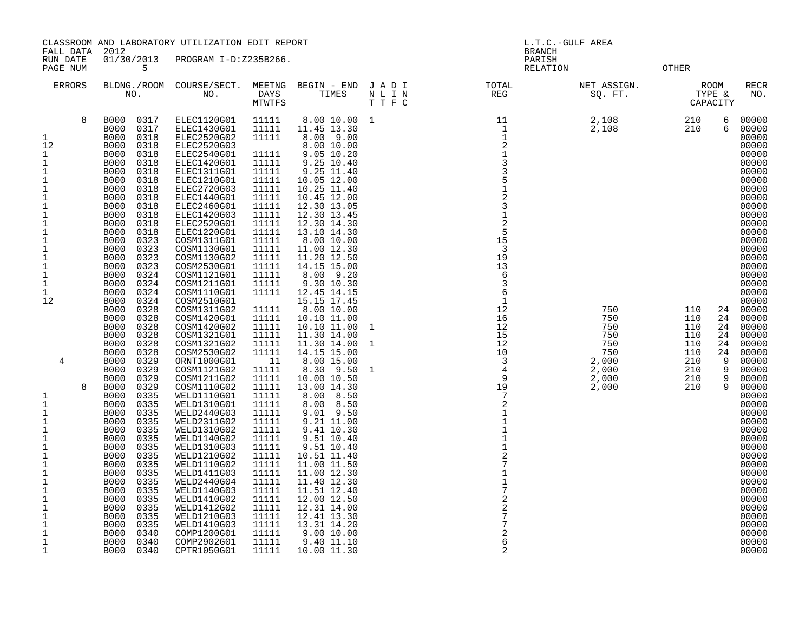CLASSROOM AND LABORATORY UTILIZATION EDIT REPORT **Example 2008** L.T.C.-GULF AREA

FALL DATA 2012 BRANCH

| RUN DATE<br>PAGE NUM                                                                                                                                                                                                      | 01/30/2013<br>5                                                                                                                                                                                                                                                                                                                                                                                                                                                                                                        | PROGRAM I-D:Z235B266.                                                                                                                                                                                                                                                                                                                         |                                                                                                                                                                                  |                                                                                                                                                                                                                                                                                                                             |                        | PARISH<br>RELATION               |                                                                            | <b>OTHER</b>                                                                                                               |                                                                                                                                                                                                    |
|---------------------------------------------------------------------------------------------------------------------------------------------------------------------------------------------------------------------------|------------------------------------------------------------------------------------------------------------------------------------------------------------------------------------------------------------------------------------------------------------------------------------------------------------------------------------------------------------------------------------------------------------------------------------------------------------------------------------------------------------------------|-----------------------------------------------------------------------------------------------------------------------------------------------------------------------------------------------------------------------------------------------------------------------------------------------------------------------------------------------|----------------------------------------------------------------------------------------------------------------------------------------------------------------------------------|-----------------------------------------------------------------------------------------------------------------------------------------------------------------------------------------------------------------------------------------------------------------------------------------------------------------------------|------------------------|----------------------------------|----------------------------------------------------------------------------|----------------------------------------------------------------------------------------------------------------------------|----------------------------------------------------------------------------------------------------------------------------------------------------------------------------------------------------|
| <b>ERRORS</b>                                                                                                                                                                                                             | BLDNG./ROOM<br>NO.                                                                                                                                                                                                                                                                                                                                                                                                                                                                                                     | COURSE/SECT.<br>NO.                                                                                                                                                                                                                                                                                                                           | DAYS<br><b>MTWTFS</b>                                                                                                                                                            | MEETNG BEGIN - END JADI<br>TIMES                                                                                                                                                                                                                                                                                            | N L I N<br>TTFC        | TOTAL<br>REG                     | NET ASSIGN.<br>SQ. FT.                                                     | ROOM<br>TYPE &<br>CAPACITY                                                                                                 | <b>RECR</b><br>NO.                                                                                                                                                                                 |
| 8<br>$\mathbf 1$<br>12<br>1<br>$\mathbf 1$<br>$\mathbf 1$<br>1<br>$1\,$<br>$\mathbf 1$<br>$1\,$<br>$\mathbf 1$<br>$\mathbf 1$<br>$1\,$<br>$1\,$<br>$1\,$<br>$\mathbf 1$<br>$1\,$<br>$\mathbf 1$<br>1<br>$\mathbf 1$<br>12 | <b>B000</b><br>0317<br><b>B000</b><br>0317<br>0318<br><b>B000</b><br><b>B000</b><br>0318<br><b>B000</b><br>0318<br><b>B000</b><br>0318<br><b>B000</b><br>0318<br>0318<br><b>B000</b><br><b>B000</b><br>0318<br>0318<br><b>B000</b><br><b>B000</b><br>0318<br><b>B000</b><br>0318<br><b>B000</b><br>0318<br>0318<br><b>B000</b><br><b>B000</b><br>0323<br><b>B000</b><br>0323<br><b>B000</b><br>0323<br><b>B000</b><br>0323<br>0324<br><b>B000</b><br>0324<br><b>B000</b><br>0324<br><b>B000</b><br>0324<br><b>B000</b> | ELEC1120G01<br>ELEC1430G01<br>ELEC2520G02<br>ELEC2520G03<br>ELEC2540G01<br>ELEC1420G01<br>ELEC1311G01<br>ELEC1210G01<br>ELEC2720G03<br>ELEC1440G01<br>ELEC2460G01<br>ELEC1420G03<br><b>ELEC2520G01</b><br>ELEC1220G01<br>COSM1311G01<br>COSM1130G01<br>COSM1130G02<br>COSM2530G01<br>COSM1121G01<br>COSM1211G01<br>COSM1110G01<br>COSM2510G01 | 11111<br>11111<br>11111<br>11111<br>11111<br>11111<br>11111<br>11111<br>11111<br>11111<br>11111<br>11111<br>11111<br>11111<br>11111<br>11111<br>11111<br>11111<br>11111<br>11111 | 8.00 10.00<br>11.45 13.30<br>8.00 9.00<br>8.00 10.00<br>9.05 10.20<br>9.25 10.40<br>9.25 11.40<br>10.05 12.00<br>10.25 11.40<br>10.45 12.00<br>12.30 13.05<br>12.30 13.45<br>12.30 14.30<br>13.10 14.30<br>8.00 10.00<br>11.00 12.30<br>11.20 12.50<br>14.15 15.00<br>8.00 9.20<br>9.30 10.30<br>12.45 14.15<br>15.15 17.45 | 1                      |                                  | 2,108<br>2,108                                                             | 6<br>210<br>210<br>6                                                                                                       | 00000<br>00000<br>00000<br>00000<br>00000<br>00000<br>00000<br>00000<br>00000<br>00000<br>00000<br>00000<br>00000<br>00000<br>00000<br>00000<br>00000<br>00000<br>00000<br>00000<br>00000<br>00000 |
| 4<br>8<br>$\mathbf 1$<br>$1\,$                                                                                                                                                                                            | <b>B000</b><br>0328<br><b>B000</b><br>0328<br><b>B000</b><br>0328<br><b>B000</b><br>0328<br>0328<br><b>B000</b><br><b>B000</b><br>0328<br><b>B000</b><br>0329<br>0329<br><b>B000</b><br><b>B000</b><br>0329<br>0329<br><b>B000</b><br>0335<br><b>B000</b><br><b>B000</b><br>0335                                                                                                                                                                                                                                       | COSM1311G02<br>COSM1420G01<br>COSM1420G02<br>COSM1321G01<br>COSM1321G02<br>COSM2530G02<br>ORNT1000G01<br>COSM1121G02<br>COSM1211G02<br>COSM1110G02<br>WELD1110G01<br>WELD1310G01                                                                                                                                                              | 11111<br>11111<br>11111<br>11111<br>11111<br>11111<br>- 11<br>11111<br>11111<br>11111<br>11111<br>11111                                                                          | 8.00 10.00<br>10.10 11.00<br>10.10 11.00<br>11.30 14.00<br>11.30 14.00<br>14.15 15.00<br>8.00 15.00<br>8.30 9.50<br>10.00 10.50<br>13.00 14.30<br>8.00<br>8.50<br>8.00<br>8.50                                                                                                                                              | $\mathbf{1}$<br>1<br>1 |                                  | 750<br>750<br>750<br>750<br>750<br>750<br>2,000<br>2,000<br>2,000<br>2,000 | 110<br>24<br>110<br>24<br>110<br>24<br>110<br>24<br>110<br>24<br>110<br>24<br>210<br>9<br>210<br>9<br>210<br>9<br>9<br>210 | 00000<br>00000<br>00000<br>00000<br>00000<br>00000<br>00000<br>00000<br>00000<br>00000<br>00000<br>00000                                                                                           |
| 1<br>1<br>$1\,$<br>$\mathbf 1$<br>$1\,$<br>$\mathbf 1$<br>$1\,$<br>$\mathbf 1$<br>$1\,$<br>$1\,$<br>$\mathbf{1}$<br>1<br>$1\,$<br>$\mathbf 1$<br>$\mathbf 1$<br>$\mathbf{1}$<br>1                                         | 0335<br><b>B000</b><br>0335<br><b>B000</b><br>0335<br><b>B000</b><br><b>B000</b><br>0335<br>0335<br><b>B000</b><br>0335<br><b>B000</b><br>0335<br><b>B000</b><br>0335<br><b>B000</b><br>0335<br><b>B000</b><br><b>B000</b><br>0335<br>0335<br><b>B000</b><br>0335<br><b>B000</b><br><b>B000</b><br>0335<br>0335<br><b>B000</b><br><b>B000</b><br>0340<br><b>B000</b><br>0340<br>B000<br>0340                                                                                                                           | WELD2440G03<br>WELD2311G02<br>WELD1310G02<br>WELD1140G02<br>WELD1310G03<br>WELD1210G02<br>WELD1110G02<br>WELD1411G03<br>WELD2440G04<br>WELD1140G03<br>WELD1410G02<br>WELD1412G02<br>WELD1210G03<br>WELD1410G03<br>COMP1200G01<br>COMP2902G01<br>CPTR1050G01                                                                                   | 11111<br>11111<br>11111<br>11111<br>11111<br>11111<br>11111<br>11111<br>11111<br>11111<br>11111<br>11111<br>11111<br>11111<br>11111<br>11111<br>11111                            | 9.01 9.50<br>9.21 11.00<br>9.41 10.30<br>9.51 10.40<br>9.51 10.40<br>10.51 11.40<br>11.00 11.50<br>11.00 12.30<br>11.40 12.30<br>11.51 12.40<br>12.00 12.50<br>12.31 14.00<br>12.41 13.30<br>13.31 14.20<br>9.00 10.00<br>9.40 11.10<br>10.00 11.30                                                                         |                        | $\overline{6}$<br>$\overline{c}$ |                                                                            |                                                                                                                            | 00000<br>00000<br>00000<br>00000<br>00000<br>00000<br>00000<br>00000<br>00000<br>00000<br>00000<br>00000<br>00000<br>00000<br>00000<br>00000<br>00000                                              |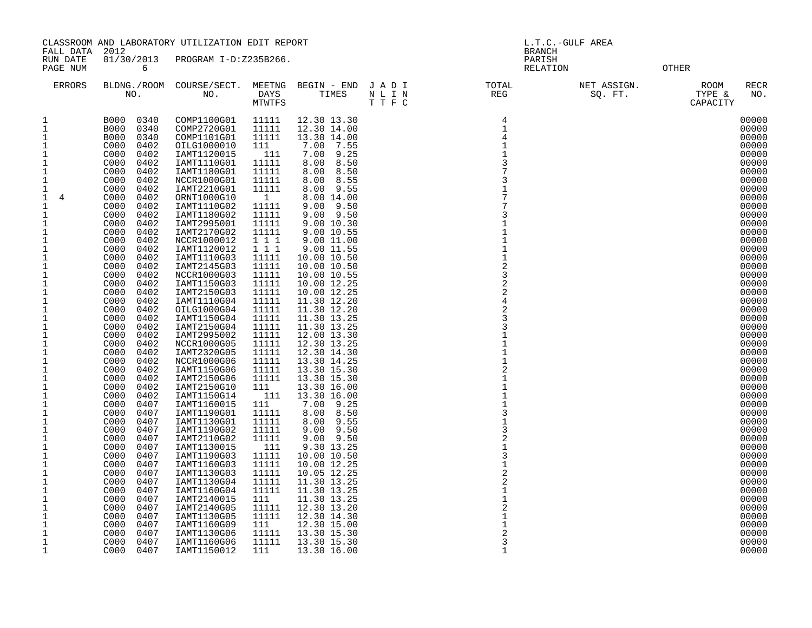|                                                                                                                                                                                                                                                                                                                                                                                                                                                                                                                                             | CLASSROOM AND LABORATORY UTILIZATION EDIT REPORT                                                                                                                                                                                                                                                                                                                                                                                                                                                                                                                                                                                                                                                                                                                                                                                                       |                                                                                                                                                                                                                                                                                                                                                                                                                                                                                                                                                                                                                                                                                                                                                                            |                                                                                                                                                                                                                                                                                                                                                                                                                                                     |                                                                                                                                                                                                                                                                                                                                                                                                                                                                                                                                                                                                                                                                                                                                                                  | L.T.C.-GULF AREA<br><b>BRANCH</b>                                                                         |                                                                                                                                                                                                                                                                                                                                                                                     |                        |                                                                                                                                                                                                                                                                                                                                                                                                                                                                |
|---------------------------------------------------------------------------------------------------------------------------------------------------------------------------------------------------------------------------------------------------------------------------------------------------------------------------------------------------------------------------------------------------------------------------------------------------------------------------------------------------------------------------------------------|--------------------------------------------------------------------------------------------------------------------------------------------------------------------------------------------------------------------------------------------------------------------------------------------------------------------------------------------------------------------------------------------------------------------------------------------------------------------------------------------------------------------------------------------------------------------------------------------------------------------------------------------------------------------------------------------------------------------------------------------------------------------------------------------------------------------------------------------------------|----------------------------------------------------------------------------------------------------------------------------------------------------------------------------------------------------------------------------------------------------------------------------------------------------------------------------------------------------------------------------------------------------------------------------------------------------------------------------------------------------------------------------------------------------------------------------------------------------------------------------------------------------------------------------------------------------------------------------------------------------------------------------|-----------------------------------------------------------------------------------------------------------------------------------------------------------------------------------------------------------------------------------------------------------------------------------------------------------------------------------------------------------------------------------------------------------------------------------------------------|------------------------------------------------------------------------------------------------------------------------------------------------------------------------------------------------------------------------------------------------------------------------------------------------------------------------------------------------------------------------------------------------------------------------------------------------------------------------------------------------------------------------------------------------------------------------------------------------------------------------------------------------------------------------------------------------------------------------------------------------------------------|-----------------------------------------------------------------------------------------------------------|-------------------------------------------------------------------------------------------------------------------------------------------------------------------------------------------------------------------------------------------------------------------------------------------------------------------------------------------------------------------------------------|------------------------|----------------------------------------------------------------------------------------------------------------------------------------------------------------------------------------------------------------------------------------------------------------------------------------------------------------------------------------------------------------------------------------------------------------------------------------------------------------|
| FALL DATA 2012<br>RUN DATE<br>PAGE NUM                                                                                                                                                                                                                                                                                                                                                                                                                                                                                                      | 01/30/2013<br>6                                                                                                                                                                                                                                                                                                                                                                                                                                                                                                                                                                                                                                                                                                                                                                                                                                        | PROGRAM I-D:Z235B266.                                                                                                                                                                                                                                                                                                                                                                                                                                                                                                                                                                                                                                                                                                                                                      |                                                                                                                                                                                                                                                                                                                                                                                                                                                     |                                                                                                                                                                                                                                                                                                                                                                                                                                                                                                                                                                                                                                                                                                                                                                  |                                                                                                           |                                                                                                                                                                                                                                                                                                                                                                                     | PARISH<br>RELATION     | OTHER                                                                                                                                                                                                                                                                                                                                                                                                                                                          |
| <b>ERRORS</b>                                                                                                                                                                                                                                                                                                                                                                                                                                                                                                                               | BLDNG./ROOM<br>NO.                                                                                                                                                                                                                                                                                                                                                                                                                                                                                                                                                                                                                                                                                                                                                                                                                                     |                                                                                                                                                                                                                                                                                                                                                                                                                                                                                                                                                                                                                                                                                                                                                                            | MTWTFS                                                                                                                                                                                                                                                                                                                                                                                                                                              |                                                                                                                                                                                                                                                                                                                                                                                                                                                                                                                                                                                                                                                                                                                                                                  | COURSE/SECT. MEETNG BEGIN - END J A D I TOTAL TOTAL NO. DAYS TIMES N L I N REG REG MTWTFS T T F C<br>TTFC |                                                                                                                                                                                                                                                                                                                                                                                     | NET ASSIGN.<br>SQ. FT. | <b>ROOM</b><br><b>RECR</b><br>TYPE &<br>NO.<br>CAPACITY                                                                                                                                                                                                                                                                                                                                                                                                        |
| 1<br>$\mathbf 1$<br>1<br>$\mathbf 1$<br>$\mathbf{1}$<br>$\mathbf{1}$<br>1<br>1<br>$\mathbf 1$<br>$\mathbf{1}$<br>4<br>$\mathbf{1}$<br>1<br>$\mathbf 1$<br>$\mathbf{1}$<br>1<br>1<br>$\mathbf{1}$<br>1<br>1<br>$\mathbf 1$<br>$\mathbf{1}$<br>$\mathbf{1}$<br>$\mathbf 1$<br>$1\,$<br>1<br>$\mathbf{1}$<br>$\mathbf{1}$<br>$\mathbf{1}$<br>1<br>$\mathbf{1}$<br>$\mathbf{1}$<br>1<br>1<br>$\mathbf 1$<br>$\mathbf{1}$<br>1<br>1<br>1<br>$\mathbf{1}$<br>1<br>1<br>1<br>$\mathbf{1}$<br>1<br>1<br>1<br>$\mathbf{1}$<br>1<br>$\mathbf{1}$<br>1 | B000<br>0340<br><b>B000</b><br>0340<br><b>B000</b><br>0340<br>C000<br>0402<br>C000<br>0402<br>C000<br>0402<br>C000<br>0402<br>C000<br>0402<br>C000<br>0402<br>C <sub>000</sub><br>0402<br>C000<br>0402<br>C000<br>0402<br>0402<br>C000<br>0402<br>C000<br>0402<br>C000<br>0402<br>C000<br>C000<br>0402<br>C000<br>0402<br>0402<br>C000<br>C000<br>0402<br>C000<br>0402<br>C000<br>0402<br>0402<br>C000<br>C000<br>0402<br>C000<br>0402<br>C000<br>0402<br>C000<br>0402<br>C000<br>0402<br>C000<br>0402<br>C000<br>0402<br>C000<br>0402<br>C000<br>0402<br>C000<br>0402<br>C000<br>0407<br>C000<br>0407<br>C000<br>0407<br>C000<br>0407<br>0407<br>C000<br>0407<br>C000<br>0407<br>C000<br>C000<br>0407<br>C000<br>0407<br>C000<br>0407<br>0407<br>C000<br>C000<br>0407<br>C000<br>0407<br>C000<br>0407<br>0407<br>C000<br>C000<br>0407<br>C000<br>0407 | COMP1100G01<br>COMP2720G01<br>COMP1101G01<br>OILG1000010<br>IAMT1120015<br>IAMT1110G01<br>IAMT1180G01<br>NCCR1000G01<br>IAMT2210G01<br>ORNT1000G10<br>IAMT1110G02<br>IAMT1180G02<br>IAMT2995001<br>IAMT2170G02<br>NCCR1000012<br>IAMT1120012<br>IAMT1110G03<br>IAMT2145G03<br>NCCR1000G03<br>IAMT1150G03<br>IAMT2150G03<br>IAMT1110G04<br>OILG1000G04<br>IAMT1150G04<br>IAMT2150G04<br>IAMT2995002<br>NCCR1000G05<br>IAMT2320G05<br>NCCR1000G06<br>IAMT1150G06<br>IAMT2150G06<br>IAMT2150G10<br>IAMT1150G14<br>IAMT1160015<br>IAMT1190G01<br>IAMT1130G01<br>IAMT1190G02<br>IAMT2110G02<br>IAMT1130015<br>IAMT1190G03<br>IAMT1160G03<br>IAMT1130G03<br>IAMT1130G04<br>IAMT1160G04<br>IAMT2140015<br>IAMT2140G05<br>IAMT1130G05<br>IAMT1160G09<br>IAMT1130G06<br>IAMT1160G06 | 11111<br>11111<br>11111<br>111<br>111<br>11111<br>11111<br>11111<br>11111<br>$\overline{1}$<br>11111<br>11111<br>11111<br>11111<br>111<br>111<br>11111<br>11111<br>11111<br>11111<br>11111<br>11111<br>11111<br>11111<br>11111<br>11111<br>11111<br>11111<br>11111<br>11111<br>11111<br>111<br>111<br>111<br>11111<br>11111<br>11111<br>11111<br>111<br>11111<br>11111<br>11111<br>11111<br>11111<br>111<br>11111<br>11111<br>111<br>11111<br>11111 | 12.30 13.30<br>12.30 14.00<br>13.30 14.00<br>7.00<br>7.55<br>7.00 9.25<br>8.00<br>8.50<br>8.00 8.50<br>8.00 8.55<br>8.00 9.55<br>8.00 14.00<br>$9.00$ $9.50$<br>$9.00$ $9.50$<br>9.00 10.30<br>9.00 10.55<br>9.00 11.00<br>9.00 11.55<br>10.00 10.50<br>10.00 10.50<br>10.00 10.55<br>10.00 12.25<br>10.00 12.25<br>11.30 12.20<br>11.30 12.20<br>11.30 13.25<br>11.30 13.25<br>12.00 13.30<br>12.30 13.25<br>12.30 14.30<br>13.30 14.25<br>13.30 15.30<br>13.30 15.30<br>13.30 16.00<br>13.30 16.00<br>7.00 9.25<br>8.00 8.50<br>8.00 9.55<br>$9.00$ $9.50$<br>$9.00$ $9.50$<br>9.30 13.25<br>10.00 10.50<br>10.00 12.25<br>10.05 12.25<br>11.30 13.25<br>11.30 13.25<br>11.30 13.25<br>12.30 13.20<br>12.30 14.30<br>12.30 15.00<br>13.30 15.30<br>13.30 15.30 |                                                                                                           | 4<br>$\mathbf{1}$<br>$\overline{4}$<br>$\mathbf 1$<br>3<br>3<br>$\mathbf{1}$<br>$\mathbf{1}$<br>$\mathbf{1}$<br>$\overline{2}$<br>3<br>$\overline{2}$<br>$\overline{4}$<br>$\overline{2}$<br>3<br>3<br>$\mathbf{1}$<br>$\overline{2}$<br>3<br>$\overline{2}$<br>3<br>$\overline{2}$<br>$\overline{2}$<br>$\mathbf{1}$<br>$\overline{a}$<br>$\mathbf{1}$<br>1<br>$\overline{2}$<br>3 |                        | 00000<br>00000<br>00000<br>00000<br>00000<br>00000<br>00000<br>00000<br>00000<br>00000<br>00000<br>00000<br>00000<br>00000<br>00000<br>00000<br>00000<br>00000<br>00000<br>00000<br>00000<br>00000<br>00000<br>00000<br>00000<br>00000<br>00000<br>00000<br>00000<br>00000<br>00000<br>00000<br>00000<br>00000<br>00000<br>00000<br>00000<br>00000<br>00000<br>00000<br>00000<br>00000<br>00000<br>00000<br>00000<br>00000<br>00000<br>00000<br>00000<br>00000 |
| $\mathbf 1$                                                                                                                                                                                                                                                                                                                                                                                                                                                                                                                                 | C000<br>0407                                                                                                                                                                                                                                                                                                                                                                                                                                                                                                                                                                                                                                                                                                                                                                                                                                           | IAMT1150012                                                                                                                                                                                                                                                                                                                                                                                                                                                                                                                                                                                                                                                                                                                                                                | 111                                                                                                                                                                                                                                                                                                                                                                                                                                                 | 13.30 16.00                                                                                                                                                                                                                                                                                                                                                                                                                                                                                                                                                                                                                                                                                                                                                      |                                                                                                           | 1                                                                                                                                                                                                                                                                                                                                                                                   |                        | 00000                                                                                                                                                                                                                                                                                                                                                                                                                                                          |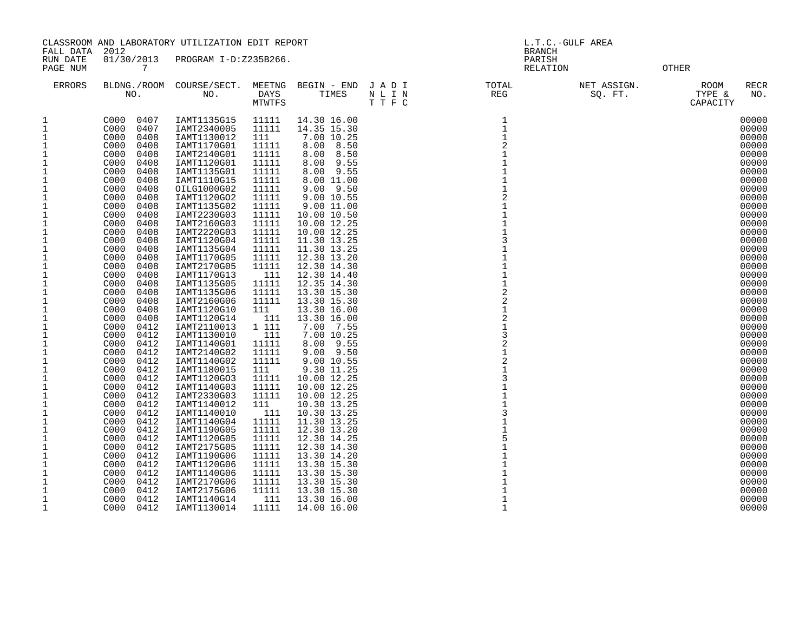| FALL DATA                    | CLASSROOM AND LABORATORY UTILIZATION EDIT REPORT<br>2012 |                                 |                | L.T.C.-GULF AREA<br><b>BRANCH</b> |                                                                                                                                                                                                                                                                   |                    |                        |                                                  |
|------------------------------|----------------------------------------------------------|---------------------------------|----------------|-----------------------------------|-------------------------------------------------------------------------------------------------------------------------------------------------------------------------------------------------------------------------------------------------------------------|--------------------|------------------------|--------------------------------------------------|
| RUN DATE<br>PAGE NUM         | 01/30/2013<br>7                                          | PROGRAM I-D:Z235B266.           |                |                                   |                                                                                                                                                                                                                                                                   | PARISH<br>RELATION |                        | OTHER                                            |
| <b>ERRORS</b>                | NO.                                                      | BLDNG./ROOM COURSE/SECT.<br>NO. |                |                                   | $\begin{tabular}{lllllllllll} \texttt{MEETNG} & \texttt{BEGIN} & - & \texttt{END} & J & A & D & I & & & \texttt{TOTAL} \\ \texttt{DAYS} & & & \texttt{TIMES} & & N & L & I & N & & & \texttt{REG} \\ \texttt{MTWTFS} & & & & T & T & F & C & & & & \end{tabular}$ |                    | NET ASSIGN.<br>SQ. FT. | <b>RECR</b><br>ROOM<br>TYPE &<br>NO.<br>CAPACITY |
| $\mathbf 1$                  | C000<br>0407                                             | IAMT1135G15                     | 11111          | 14.30 16.00                       |                                                                                                                                                                                                                                                                   | $\mathbf{1}$       |                        | 00000                                            |
| $\mathbf{1}$                 | 0407<br>C000                                             | IAMT2340005                     | 11111          | 14.35 15.30                       |                                                                                                                                                                                                                                                                   | $\mathbf{1}$       |                        | 00000                                            |
| 1                            | 0408<br>C000                                             | IAMT1130012                     | 111            | 7.00 10.25                        |                                                                                                                                                                                                                                                                   |                    |                        | 00000                                            |
| 1                            | C000<br>0408                                             | IAMT1170G01                     | 11111          | 8.00 8.50                         |                                                                                                                                                                                                                                                                   | $\overline{c}$     |                        | 00000                                            |
| $\mathbf{1}$<br>$1\,$        | C000<br>0408<br>0408<br>C000                             | IAMT2140G01<br>IAMT1120G01      | 11111<br>11111 | 8.00 8.50<br>8.00 9.55            |                                                                                                                                                                                                                                                                   |                    |                        | 00000<br>00000                                   |
| $\mathbf 1$                  | 0408<br>C000                                             | IAMT1135G01                     | 11111          | 8.00 9.55                         |                                                                                                                                                                                                                                                                   |                    |                        | 00000                                            |
| $\mathbf{1}$                 | C000<br>0408                                             | IAMT1110G15                     | 11111          | 8.00 11.00                        |                                                                                                                                                                                                                                                                   |                    |                        | 00000                                            |
| $\mathbf{1}$                 | C000<br>0408                                             | OILG1000G02                     | 11111          | $9.00$ $9.50$                     |                                                                                                                                                                                                                                                                   |                    |                        | 00000                                            |
| $\mathbf{1}$                 | C000<br>0408                                             | IAMT1120GO2                     | 11111          | 9.00 10.55                        |                                                                                                                                                                                                                                                                   | $\overline{2}$     |                        | 00000                                            |
| 1                            | C000<br>0408                                             | IAMT1135G02                     | 11111          | 9.00 11.00                        |                                                                                                                                                                                                                                                                   |                    |                        | 00000                                            |
| $1\,$                        | C000<br>0408                                             | IAMT2230G03                     | 11111          | 10.00 10.50                       |                                                                                                                                                                                                                                                                   |                    |                        | 00000                                            |
| $\mathbf{1}$                 | C000<br>0408                                             | IAMT2160G03                     | 11111          | 10.00 12.25                       |                                                                                                                                                                                                                                                                   |                    |                        | 00000                                            |
| $1\,$                        | C000<br>0408                                             | IAMT2220G03                     | 11111          | 10.00 12.25                       |                                                                                                                                                                                                                                                                   |                    |                        | 00000                                            |
| $\mathbf{1}$<br>$\mathbf{1}$ | C000<br>0408<br>C000<br>0408                             | IAMT1120G04<br>IAMT1135G04      | 11111<br>11111 | 11.30 13.25<br>11.30 13.25        |                                                                                                                                                                                                                                                                   | 3                  |                        | 00000<br>00000                                   |
| $1\,$                        | C000<br>0408                                             | IAMT1170G05                     | 11111          | 12.30 13.20                       |                                                                                                                                                                                                                                                                   |                    |                        | 00000                                            |
| $\mathbf{1}$                 | C000<br>0408                                             | IAMT2170G05                     | 11111          | 12.30 14.30                       |                                                                                                                                                                                                                                                                   |                    |                        | 00000                                            |
| $\mathbf{1}$                 | C000<br>0408                                             | IAMT1170G13                     | 111            | 12.30 14.40                       |                                                                                                                                                                                                                                                                   |                    |                        | 00000                                            |
| 1                            | 0408<br>C000                                             | IAMT1135G05                     | 11111          | 12.35 14.30                       |                                                                                                                                                                                                                                                                   |                    |                        | 00000                                            |
| $\mathbf{1}$                 | 0408<br>C000                                             | IAMT1135G06                     | 11111          | 13.30 15.30                       |                                                                                                                                                                                                                                                                   | $\overline{2}$     |                        | 00000                                            |
| $\mathbf 1$                  | C000<br>0408                                             | IAMT2160G06                     | 11111          | 13.30 15.30                       |                                                                                                                                                                                                                                                                   | $\overline{2}$     |                        | 00000                                            |
| $\mathbf 1$                  | C000<br>0408                                             | IAMT1120G10                     | 111            | 13.30 16.00                       |                                                                                                                                                                                                                                                                   |                    |                        | 00000                                            |
| $\mathbf 1$                  | C000<br>0408                                             | IAMT1120G14                     | 111            | 13.30 16.00                       |                                                                                                                                                                                                                                                                   | $\overline{a}$     |                        | 00000                                            |
| 1                            | 0412<br>C000                                             | IAMT2110013                     | 1 111          | 7.00 7.55                         |                                                                                                                                                                                                                                                                   | 3                  |                        | 00000                                            |
| $\frac{1}{1}$                | 0412<br>C000<br>C000<br>0412                             | IAMT1130010<br>IAMT1140G01      | 111<br>11111   | 7.00 10.25<br>8.00 9.55           |                                                                                                                                                                                                                                                                   |                    |                        | 00000<br>00000                                   |
| $\mathbf{1}$                 | 0412<br>C000                                             | IAMT2140G02                     | 11111          | $9.00$ $9.50$                     |                                                                                                                                                                                                                                                                   |                    |                        | 00000                                            |
| $\mathbf{1}$                 | 0412<br>C000                                             | IAMT1140G02                     | 11111          | 9.00 10.55                        |                                                                                                                                                                                                                                                                   | $\overline{2}$     |                        | 00000                                            |
| 1                            | C000<br>0412                                             | IAMT1180015                     | 111            | 9.30 11.25                        |                                                                                                                                                                                                                                                                   |                    |                        | 00000                                            |
| $\mathbf{1}$                 | 0412<br>C000                                             | IAMT1120GO3                     | 11111          | 10.00 12.25                       |                                                                                                                                                                                                                                                                   | 3                  |                        | 00000                                            |
| $\mathbf{1}$                 | C000<br>0412                                             | IAMT1140G03                     | 11111          | 10.00 12.25                       |                                                                                                                                                                                                                                                                   |                    |                        | 00000                                            |
| 1                            | C000<br>0412                                             | IAMT2330G03                     | 11111          | 10.00 12.25                       |                                                                                                                                                                                                                                                                   |                    |                        | 00000                                            |
| $1\,$                        | C000<br>0412                                             | IAMT1140012                     | 111            | 10.30 13.25                       |                                                                                                                                                                                                                                                                   |                    |                        | 00000                                            |
| $\mathbf{1}$                 | C000<br>0412                                             | IAMT1140010                     | 111            | 10.30 13.25                       |                                                                                                                                                                                                                                                                   | 3                  |                        | 00000                                            |
| $1\,$<br>1                   | 0412<br>C000<br>C000<br>0412                             | IAMT1140G04                     | 11111<br>11111 | 11.30 13.25                       |                                                                                                                                                                                                                                                                   |                    |                        | 00000<br>00000                                   |
| $\mathbf{1}$                 | C000<br>0412                                             | IAMT1190G05<br>IAMT1120G05      | 11111          | 12.30 13.20<br>12.30 14.25        |                                                                                                                                                                                                                                                                   |                    |                        | 00000                                            |
| $1\,$                        | C000<br>0412                                             | IAMT2175G05                     | 11111          | 12.30 14.30                       |                                                                                                                                                                                                                                                                   |                    |                        | 00000                                            |
| 1                            | 0412<br>C000                                             | IAMT1190G06                     | 11111          | 13.30 14.20                       |                                                                                                                                                                                                                                                                   |                    |                        | 00000                                            |
| $\mathbf{1}$                 | 0412<br>C000                                             | IAMT1120G06                     | 11111          | 13.30 15.30                       |                                                                                                                                                                                                                                                                   |                    |                        | 00000                                            |
| 1                            | C000<br>0412                                             | IAMT1140G06                     | 11111          | 13.30 15.30                       |                                                                                                                                                                                                                                                                   |                    |                        | 00000                                            |
| $\mathbf{1}$                 | C000<br>0412                                             | IAMT2170G06                     | 11111          | 13.30 15.30                       |                                                                                                                                                                                                                                                                   |                    |                        | 00000                                            |
| 1                            | C000<br>0412                                             | IAMT2175G06                     | 11111          | 13.30 15.30                       |                                                                                                                                                                                                                                                                   |                    |                        | 00000                                            |
| $1\,$                        | C000<br>0412                                             | IAMT1140G14                     | 111            | 13.30 16.00                       |                                                                                                                                                                                                                                                                   | $\mathbf{1}$       |                        | 00000                                            |
| $\mathbf{1}$                 | C000<br>0412                                             | IAMT1130014                     | 11111          | 14.00 16.00                       |                                                                                                                                                                                                                                                                   | $\mathbf{1}$       |                        | 00000                                            |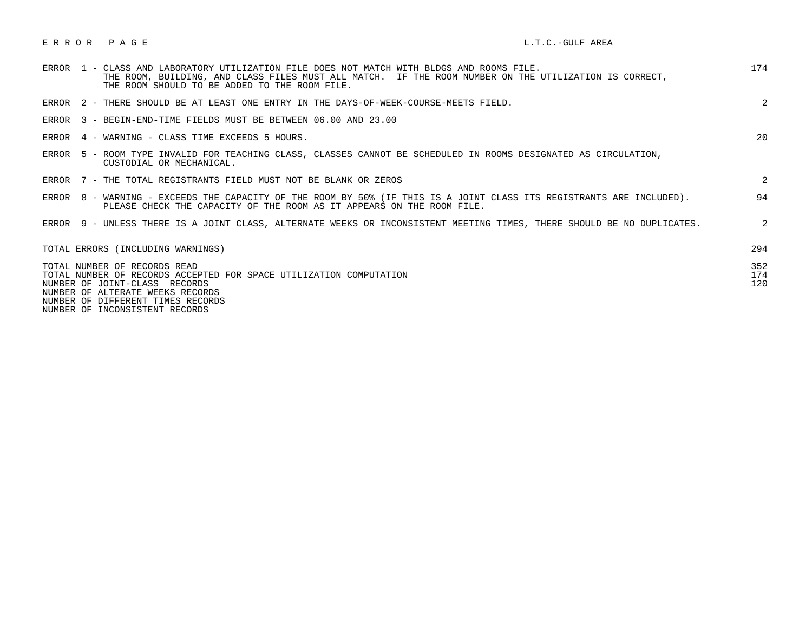| ERROR PAGE |  |  | L.T.C.-GULF AREA |  |  |
|------------|--|--|------------------|--|--|
|------------|--|--|------------------|--|--|

| 1 - CLASS AND LABORATORY UTILIZATION FILE DOES NOT MATCH WITH BLDGS AND ROOMS FILE.<br>ERROR<br>THE ROOM, BUILDING, AND CLASS FILES MUST ALL MATCH. IF THE ROOM NUMBER ON THE UTILIZATION IS CORRECT,<br>THE ROOM SHOULD TO BE ADDED TO THE ROOM FILE. | 174               |
|--------------------------------------------------------------------------------------------------------------------------------------------------------------------------------------------------------------------------------------------------------|-------------------|
| ERROR 2 - THERE SHOULD BE AT LEAST ONE ENTRY IN THE DAYS-OF-WEEK-COURSE-MEETS FIELD.                                                                                                                                                                   | 2                 |
| ERROR 3 - BEGIN-END-TIME FIELDS MUST BE BETWEEN 06.00 AND 23.00                                                                                                                                                                                        |                   |
| ERROR 4 - WARNING - CLASS TIME EXCEEDS 5 HOURS.                                                                                                                                                                                                        | 20                |
| ERROR 5 - ROOM TYPE INVALID FOR TEACHING CLASS, CLASSES CANNOT BE SCHEDULED IN ROOMS DESIGNATED AS CIRCULATION,<br>CUSTODIAL OR MECHANICAL.                                                                                                            |                   |
| ERROR 7 - THE TOTAL REGISTRANTS FIELD MUST NOT BE BLANK OR ZEROS                                                                                                                                                                                       | 2                 |
| ERROR 8 - WARNING - EXCEEDS THE CAPACITY OF THE ROOM BY 50% (IF THIS IS A JOINT CLASS ITS REGISTRANTS ARE INCLUDED).<br>PLEASE CHECK THE CAPACITY OF THE ROOM AS IT APPEARS ON THE ROOM FILE.                                                          | 94                |
| ERROR 9 - UNLESS THERE IS A JOINT CLASS, ALTERNATE WEEKS OR INCONSISTENT MEETING TIMES, THERE SHOULD BE NO DUPLICATES.                                                                                                                                 | 2                 |
| TOTAL ERRORS (INCLUDING WARNINGS)                                                                                                                                                                                                                      | 294               |
| TOTAL NUMBER OF RECORDS READ<br>TOTAL NUMBER OF RECORDS ACCEPTED FOR SPACE UTILIZATION COMPUTATION<br>NUMBER OF JOINT-CLASS RECORDS<br>NUMBER OF ALTERATE WEEKS RECORDS<br>NUMBER OF DIFFERENT TIMES RECORDS<br>NUMBER OF INCONSISTENT RECORDS         | 352<br>174<br>120 |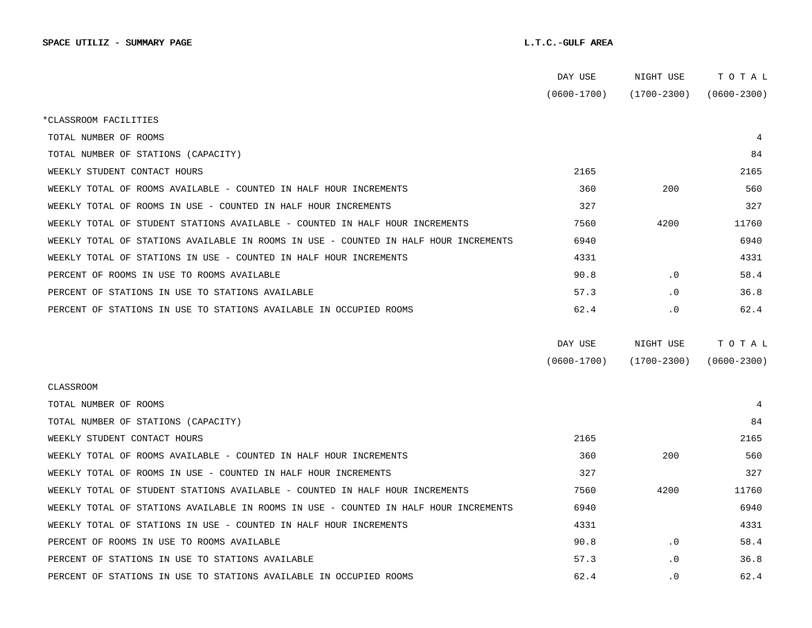|                                                                                      | DAY USE         | NIGHT USE       | тотаь           |
|--------------------------------------------------------------------------------------|-----------------|-----------------|-----------------|
|                                                                                      | $(0600 - 1700)$ | (1700-2300)     | $(0600 - 2300)$ |
| *CLASSROOM FACILITIES                                                                |                 |                 |                 |
| TOTAL NUMBER OF ROOMS                                                                |                 |                 | 4               |
| TOTAL NUMBER OF STATIONS (CAPACITY)                                                  |                 |                 | 84              |
| WEEKLY STUDENT CONTACT HOURS                                                         | 2165            |                 | 2165            |
| WEEKLY TOTAL OF ROOMS AVAILABLE - COUNTED IN HALF HOUR INCREMENTS                    | 360             | 200             | 560             |
| WEEKLY TOTAL OF ROOMS IN USE - COUNTED IN HALF HOUR INCREMENTS                       | 327             |                 | 327             |
| WEEKLY TOTAL OF STUDENT STATIONS AVAILABLE - COUNTED IN HALF HOUR INCREMENTS         | 7560            | 4200            | 11760           |
| WEEKLY TOTAL OF STATIONS AVAILABLE IN ROOMS IN USE - COUNTED IN HALF HOUR INCREMENTS | 6940            |                 | 6940            |
| WEEKLY TOTAL OF STATIONS IN USE - COUNTED IN HALF HOUR INCREMENTS                    | 4331            |                 | 4331            |
| PERCENT OF ROOMS IN USE TO ROOMS AVAILABLE                                           | 90.8            | $\cdot$ 0       | 58.4            |
| PERCENT OF STATIONS IN USE TO STATIONS AVAILABLE                                     | 57.3            | $\cdot$ 0       | 36.8            |
| PERCENT OF STATIONS IN USE TO STATIONS AVAILABLE IN OCCUPIED ROOMS                   | 62.4            | . 0             | 62.4            |
|                                                                                      |                 |                 |                 |
|                                                                                      | DAY USE         | NIGHT USE       | TOTAL           |
|                                                                                      | $(0600 - 1700)$ | $(1700 - 2300)$ | $(0600 - 2300)$ |
| CLASSROOM                                                                            |                 |                 |                 |
| TOTAL NUMBER OF ROOMS                                                                |                 |                 | 4               |
| TOTAL NUMBER OF STATIONS (CAPACITY)                                                  |                 |                 | 84              |
| WEEKLY STUDENT CONTACT HOURS                                                         | 2165            |                 | 2165            |
| WEEKLY TOTAL OF ROOMS AVAILABLE - COUNTED IN HALF HOUR INCREMENTS                    | 360             | 200             | 560             |
| WEEKLY TOTAL OF ROOMS IN USE - COUNTED IN HALF HOUR INCREMENTS                       | 327             |                 | 327             |
| WEEKLY TOTAL OF STUDENT STATIONS AVAILABLE - COUNTED IN HALF HOUR INCREMENTS         | 7560            | 4200            | 11760           |
| WEEKLY TOTAL OF STATIONS AVAILABLE IN ROOMS IN USE - COUNTED IN HALF HOUR INCREMENTS | 6940            |                 | 6940            |
| WEEKLY TOTAL OF STATIONS IN USE - COUNTED IN HALF HOUR INCREMENTS                    | 4331            |                 | 4331            |
| PERCENT OF ROOMS IN USE TO ROOMS AVAILABLE                                           | 90.8            | $\cdot$ 0       | 58.4            |
| PERCENT OF STATIONS IN USE TO STATIONS AVAILABLE                                     | 57.3            | $\cdot$ 0       | 36.8            |
| PERCENT OF STATIONS IN USE TO STATIONS AVAILABLE IN OCCUPIED ROOMS                   | 62.4            | $\cdot$ 0       | 62.4            |